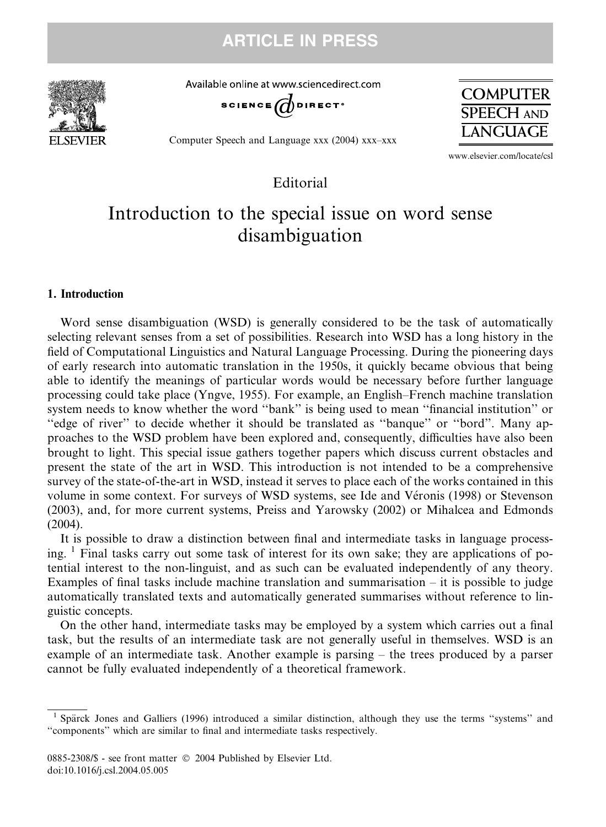

Available online at www.sciencedirect.com



Computer Speech and Language xxx (2004) xxx–xxx



www.elsevier.com/locate/csl

### Editorial

# Introduction to the special issue on word sense disambiguation

#### 1. Introduction

Word sense disambiguation (WSD) is generally considered to be the task of automatically selecting relevant senses from a set of possibilities. Research into WSD has a long history in the field of Computational Linguistics and Natural Language Processing. During the pioneering days of early research into automatic translation in the 1950s, it quickly became obvious that being able to identify the meanings of particular words would be necessary before further language processing could take place (Yngve, 1955). For example, an English–French machine translation system needs to know whether the word ''bank'' is being used to mean ''financial institution'' or ''edge of river'' to decide whether it should be translated as ''banque'' or ''bord''. Many approaches to the WSD problem have been explored and, consequently, difficulties have also been brought to light. This special issue gathers together papers which discuss current obstacles and present the state of the art in WSD. This introduction is not intended to be a comprehensive survey of the state-of-the-art in WSD, instead it serves to place each of the works contained in this volume in some context. For surveys of WSD systems, see Ide and Véronis (1998) or Stevenson (2003), and, for more current systems, Preiss and Yarowsky (2002) or Mihalcea and Edmonds (2004).

It is possible to draw a distinction between final and intermediate tasks in language processing.  $\frac{1}{1}$  Final tasks carry out some task of interest for its own sake; they are applications of potential interest to the non-linguist, and as such can be evaluated independently of any theory. Examples of final tasks include machine translation and summarisation  $-$  it is possible to judge automatically translated texts and automatically generated summarises without reference to linguistic concepts.

On the other hand, intermediate tasks may be employed by a system which carries out a final task, but the results of an intermediate task are not generally useful in themselves. WSD is an example of an intermediate task. Another example is parsing – the trees produced by a parser cannot be fully evaluated independently of a theoretical framework.

<sup>&</sup>lt;sup>1</sup> Spärck Jones and Galliers (1996) introduced a similar distinction, although they use the terms "systems" and ''components'' which are similar to final and intermediate tasks respectively.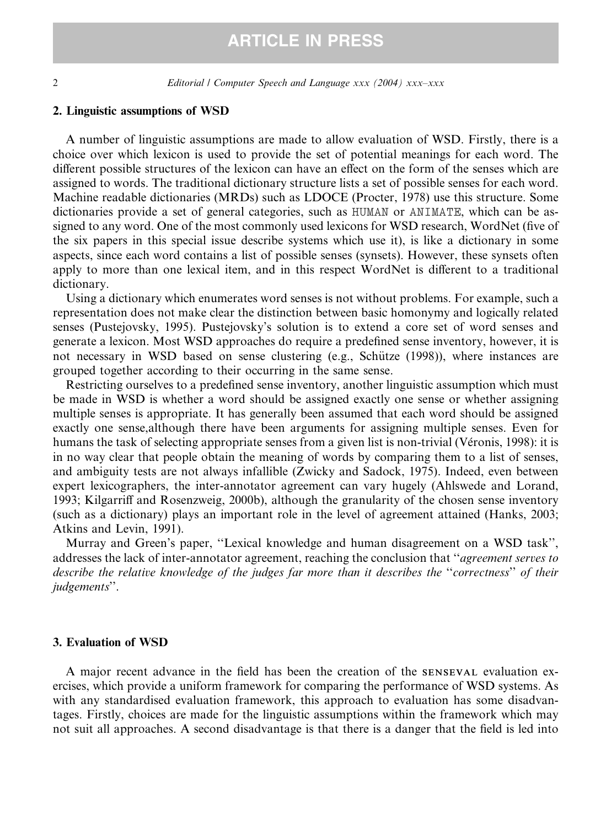2 Editorial / Computer Speech and Language xxx (2004) xxx–xxx

#### 2. Linguistic assumptions of WSD

A number of linguistic assumptions are made to allow evaluation of WSD. Firstly, there is a choice over which lexicon is used to provide the set of potential meanings for each word. The different possible structures of the lexicon can have an effect on the form of the senses which are assigned to words. The traditional dictionary structure lists a set of possible senses for each word. Machine readable dictionaries (MRDs) such as LDOCE (Procter, 1978) use this structure. Some dictionaries provide a set of general categories, such as HUMAN or ANIMATE, which can be assigned to any word. One of the most commonly used lexicons for WSD research, WordNet (five of the six papers in this special issue describe systems which use it), is like a dictionary in some aspects, since each word contains a list of possible senses (synsets). However, these synsets often apply to more than one lexical item, and in this respect WordNet is different to a traditional dictionary.

Using a dictionary which enumerates word senses is not without problems. For example, such a representation does not make clear the distinction between basic homonymy and logically related senses (Pustejovsky, 1995). Pustejovsky's solution is to extend a core set of word senses and generate a lexicon. Most WSD approaches do require a predefined sense inventory, however, it is not necessary in WSD based on sense clustering (e.g., Schütze  $(1998)$ ), where instances are grouped together according to their occurring in the same sense.

Restricting ourselves to a predefined sense inventory, another linguistic assumption which must be made in WSD is whether a word should be assigned exactly one sense or whether assigning multiple senses is appropriate. It has generally been assumed that each word should be assigned exactly one sense,although there have been arguments for assigning multiple senses. Even for humans the task of selecting appropriate senses from a given list is non-trivial (Véronis, 1998): it is in no way clear that people obtain the meaning of words by comparing them to a list of senses, and ambiguity tests are not always infallible (Zwicky and Sadock, 1975). Indeed, even between expert lexicographers, the inter-annotator agreement can vary hugely (Ahlswede and Lorand, 1993; Kilgarriff and Rosenzweig, 2000b), although the granularity of the chosen sense inventory (such as a dictionary) plays an important role in the level of agreement attained (Hanks, 2003; Atkins and Levin, 1991).

Murray and Green's paper, ''Lexical knowledge and human disagreement on a WSD task'', addresses the lack of inter-annotator agreement, reaching the conclusion that ''agreement serves to describe the relative knowledge of the judges far more than it describes the ''correctness'' of their judgements''.

#### 3. Evaluation of WSD

A major recent advance in the field has been the creation of the SENSEVAL evaluation exercises, which provide a uniform framework for comparing the performance of WSD systems. As with any standardised evaluation framework, this approach to evaluation has some disadvantages. Firstly, choices are made for the linguistic assumptions within the framework which may not suit all approaches. A second disadvantage is that there is a danger that the field is led into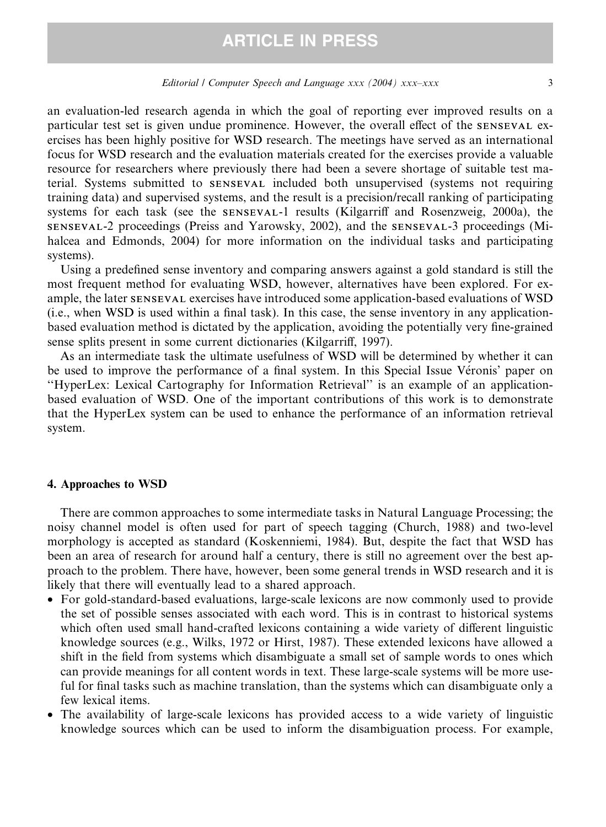#### Editorial *I* Computer Speech and Language xxx (2004) xxx–xxx 3

an evaluation-led research agenda in which the goal of reporting ever improved results on a particular test set is given undue prominence. However, the overall effect of the SENSEVAL exercises has been highly positive for WSD research. The meetings have served as an international focus for WSD research and the evaluation materials created for the exercises provide a valuable resource for researchers where previously there had been a severe shortage of suitable test material. Systems submitted to SENSEVAL included both unsupervised (systems not requiring training data) and supervised systems, and the result is a precision/recall ranking of participating systems for each task (see the SENSEVAL-1 results (Kilgarriff and Rosenzweig, 2000a), the SENSEVAL-2 proceedings (Preiss and Yarowsky, 2002), and the SENSEVAL-3 proceedings (Mihalcea and Edmonds, 2004) for more information on the individual tasks and participating systems).

Using a predefined sense inventory and comparing answers against a gold standard is still the most frequent method for evaluating WSD, however, alternatives have been explored. For example, the later SENSEVAL exercises have introduced some application-based evaluations of WSD (i.e., when WSD is used within a final task). In this case, the sense inventory in any applicationbased evaluation method is dictated by the application, avoiding the potentially very fine-grained sense splits present in some current dictionaries (Kilgarriff, 1997).

As an intermediate task the ultimate usefulness of WSD will be determined by whether it can be used to improve the performance of a final system. In this Special Issue Veronis' paper on "HyperLex: Lexical Cartography for Information Retrieval" is an example of an applicationbased evaluation of WSD. One of the important contributions of this work is to demonstrate that the HyperLex system can be used to enhance the performance of an information retrieval system.

#### 4. Approaches to WSD

There are common approaches to some intermediate tasks in Natural Language Processing; the noisy channel model is often used for part of speech tagging (Church, 1988) and two-level morphology is accepted as standard (Koskenniemi, 1984). But, despite the fact that WSD has been an area of research for around half a century, there is still no agreement over the best approach to the problem. There have, however, been some general trends in WSD research and it is likely that there will eventually lead to a shared approach.

- For gold-standard-based evaluations, large-scale lexicons are now commonly used to provide the set of possible senses associated with each word. This is in contrast to historical systems which often used small hand-crafted lexicons containing a wide variety of different linguistic knowledge sources (e.g., Wilks, 1972 or Hirst, 1987). These extended lexicons have allowed a shift in the field from systems which disambiguate a small set of sample words to ones which can provide meanings for all content words in text. These large-scale systems will be more useful for final tasks such as machine translation, than the systems which can disambiguate only a few lexical items.
- The availability of large-scale lexicons has provided access to a wide variety of linguistic knowledge sources which can be used to inform the disambiguation process. For example,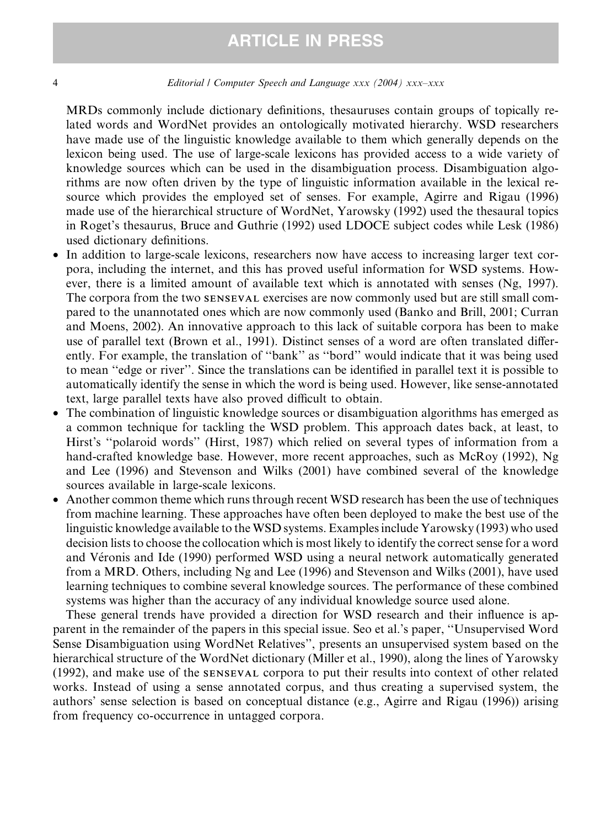#### 4 Editorial / Computer Speech and Language xxx (2004) xxx–xxx

MRDs commonly include dictionary definitions, thesauruses contain groups of topically related words and WordNet provides an ontologically motivated hierarchy. WSD researchers have made use of the linguistic knowledge available to them which generally depends on the lexicon being used. The use of large-scale lexicons has provided access to a wide variety of knowledge sources which can be used in the disambiguation process. Disambiguation algorithms are now often driven by the type of linguistic information available in the lexical resource which provides the employed set of senses. For example, Agirre and Rigau (1996) made use of the hierarchical structure of WordNet, Yarowsky (1992) used the thesaural topics in Roget's thesaurus, Bruce and Guthrie (1992) used LDOCE subject codes while Lesk (1986) used dictionary definitions.

- In addition to large-scale lexicons, researchers now have access to increasing larger text corpora, including the internet, and this has proved useful information for WSD systems. However, there is a limited amount of available text which is annotated with senses (Ng, 1997). The corpora from the two SENSEVAL exercises are now commonly used but are still small compared to the unannotated ones which are now commonly used (Banko and Brill, 2001; Curran and Moens, 2002). An innovative approach to this lack of suitable corpora has been to make use of parallel text (Brown et al., 1991). Distinct senses of a word are often translated differently. For example, the translation of ''bank'' as ''bord'' would indicate that it was being used to mean ''edge or river''. Since the translations can be identified in parallel text it is possible to automatically identify the sense in which the word is being used. However, like sense-annotated text, large parallel texts have also proved difficult to obtain.
- The combination of linguistic knowledge sources or disambiguation algorithms has emerged as a common technique for tackling the WSD problem. This approach dates back, at least, to Hirst's ''polaroid words'' (Hirst, 1987) which relied on several types of information from a hand-crafted knowledge base. However, more recent approaches, such as McRoy (1992), Ng and Lee (1996) and Stevenson and Wilks (2001) have combined several of the knowledge sources available in large-scale lexicons.
- Another common theme which runs through recent WSD research has been the use of techniques from machine learning. These approaches have often been deployed to make the best use of the linguistic knowledge available to the WSD systems. Examples include Yarowsky (1993) who used decision lists to choose the collocation which is most likely to identify the correct sense for a word and Véronis and Ide (1990) performed WSD using a neural network automatically generated from a MRD. Others, including Ng and Lee (1996) and Stevenson and Wilks (2001), have used learning techniques to combine several knowledge sources. The performance of these combined systems was higher than the accuracy of any individual knowledge source used alone.

These general trends have provided a direction for WSD research and their influence is apparent in the remainder of the papers in this special issue. Seo et al.'s paper, ''Unsupervised Word Sense Disambiguation using WordNet Relatives'', presents an unsupervised system based on the hierarchical structure of the WordNet dictionary (Miller et al., 1990), along the lines of Yarowsky (1992), and make use of the SENSEVAL corpora to put their results into context of other related works. Instead of using a sense annotated corpus, and thus creating a supervised system, the authors' sense selection is based on conceptual distance (e.g., Agirre and Rigau (1996)) arising from frequency co-occurrence in untagged corpora.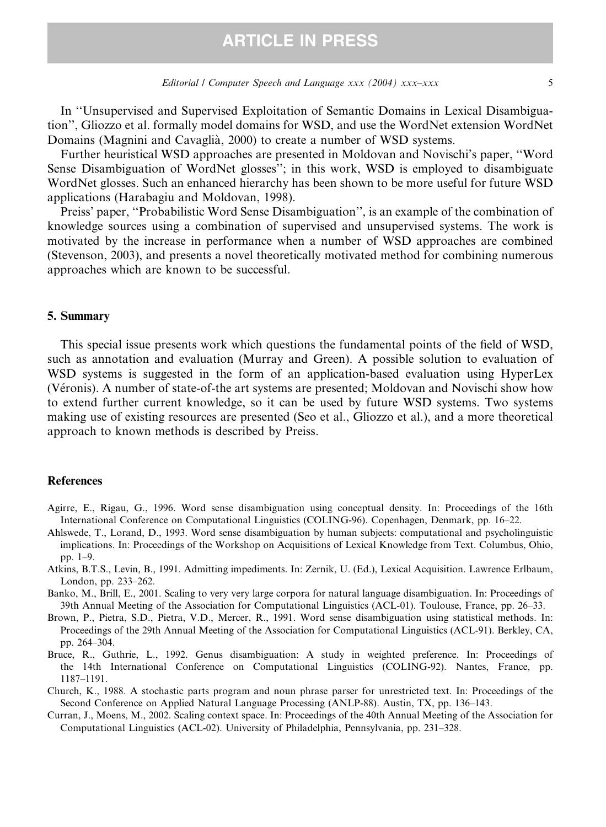Editorial *I* Computer Speech and Language xxx (2004) xxx–xxx 5

In ''Unsupervised and Supervised Exploitation of Semantic Domains in Lexical Disambiguation'', Gliozzo et al. formally model domains for WSD, and use the WordNet extension WordNet Domains (Magnini and Cavaglià, 2000) to create a number of WSD systems.

Further heuristical WSD approaches are presented in Moldovan and Novischi's paper, ''Word Sense Disambiguation of WordNet glosses''; in this work, WSD is employed to disambiguate WordNet glosses. Such an enhanced hierarchy has been shown to be more useful for future WSD applications (Harabagiu and Moldovan, 1998).

Preiss' paper, ''Probabilistic Word Sense Disambiguation'', is an example of the combination of knowledge sources using a combination of supervised and unsupervised systems. The work is motivated by the increase in performance when a number of WSD approaches are combined (Stevenson, 2003), and presents a novel theoretically motivated method for combining numerous approaches which are known to be successful.

#### 5. Summary

This special issue presents work which questions the fundamental points of the field of WSD, such as annotation and evaluation (Murray and Green). A possible solution to evaluation of WSD systems is suggested in the form of an application-based evaluation using HyperLex (Veronis). A number of state-of-the art systems are presented; Moldovan and Novischi show how to extend further current knowledge, so it can be used by future WSD systems. Two systems making use of existing resources are presented (Seo et al., Gliozzo et al.), and a more theoretical approach to known methods is described by Preiss.

#### References

- Agirre, E., Rigau, G., 1996. Word sense disambiguation using conceptual density. In: Proceedings of the 16th International Conference on Computational Linguistics (COLING-96). Copenhagen, Denmark, pp. 16–22.
- Ahlswede, T., Lorand, D., 1993. Word sense disambiguation by human subjects: computational and psycholinguistic implications. In: Proceedings of the Workshop on Acquisitions of Lexical Knowledge from Text. Columbus, Ohio, pp. 1–9.
- Atkins, B.T.S., Levin, B., 1991. Admitting impediments. In: Zernik, U. (Ed.), Lexical Acquisition. Lawrence Erlbaum, London, pp. 233–262.
- Banko, M., Brill, E., 2001. Scaling to very very large corpora for natural language disambiguation. In: Proceedings of 39th Annual Meeting of the Association for Computational Linguistics (ACL-01). Toulouse, France, pp. 26–33.
- Brown, P., Pietra, S.D., Pietra, V.D., Mercer, R., 1991. Word sense disambiguation using statistical methods. In: Proceedings of the 29th Annual Meeting of the Association for Computational Linguistics (ACL-91). Berkley, CA, pp. 264–304.
- Bruce, R., Guthrie, L., 1992. Genus disambiguation: A study in weighted preference. In: Proceedings of the 14th International Conference on Computational Linguistics (COLING-92). Nantes, France, pp. 1187–1191.
- Church, K., 1988. A stochastic parts program and noun phrase parser for unrestricted text. In: Proceedings of the Second Conference on Applied Natural Language Processing (ANLP-88). Austin, TX, pp. 136–143.
- Curran, J., Moens, M., 2002. Scaling context space. In: Proceedings of the 40th Annual Meeting of the Association for Computational Linguistics (ACL-02). University of Philadelphia, Pennsylvania, pp. 231–328.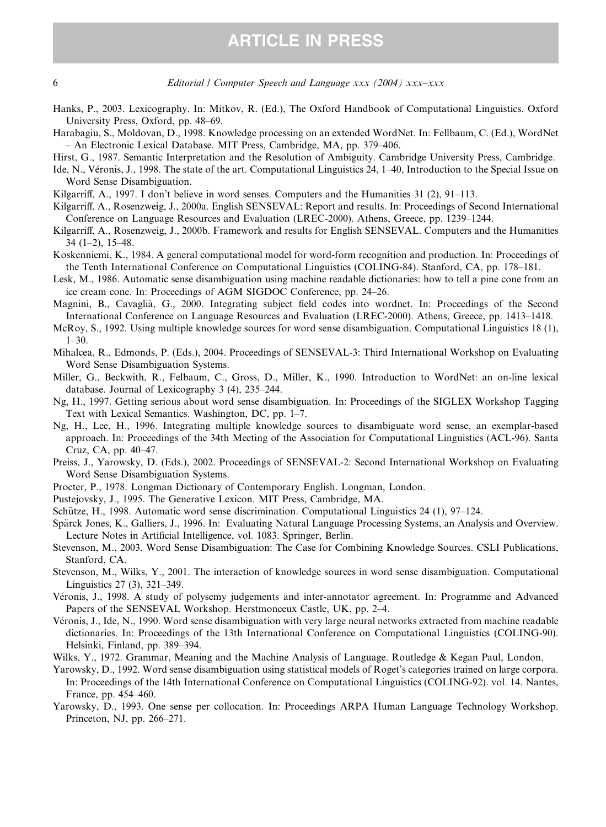6 Editorial / Computer Speech and Language xxx (2004) xxx–xxx

- Hanks, P., 2003. Lexicography. In: Mitkov, R. (Ed.), The Oxford Handbook of Computational Linguistics. Oxford University Press, Oxford, pp. 48–69.
- Harabagiu, S., Moldovan, D., 1998. Knowledge processing on an extended WordNet. In: Fellbaum, C. (Ed.), WordNet – An Electronic Lexical Database. MIT Press, Cambridge, MA, pp. 379–406.
- Hirst, G., 1987. Semantic Interpretation and the Resolution of Ambiguity. Cambridge University Press, Cambridge.
- Ide, N., Veronis, J., 1998. The state of the art. Computational Linguistics 24, 1–40, Introduction to the Special Issue on Word Sense Disambiguation.
- Kilgarriff, A., 1997. I don't believe in word senses. Computers and the Humanities 31 (2), 91–113.
- Kilgarriff, A., Rosenzweig, J., 2000a. English SENSEVAL: Report and results. In: Proceedings of Second International Conference on Language Resources and Evaluation (LREC-2000). Athens, Greece, pp. 1239–1244.
- Kilgarriff, A., Rosenzweig, J., 2000b. Framework and results for English SENSEVAL. Computers and the Humanities 34 (1–2), 15–48.
- Koskenniemi, K., 1984. A general computational model for word-form recognition and production. In: Proceedings of the Tenth International Conference on Computational Linguistics (COLING-84). Stanford, CA, pp. 178–181.
- Lesk, M., 1986. Automatic sense disambiguation using machine readable dictionaries: how to tell a pine cone from an ice cream cone. In: Proceedings of AGM SIGDOC Conference, pp. 24–26.
- Magnini, B., Cavaglià, G., 2000. Integrating subject field codes into wordnet. In: Proceedings of the Second International Conference on Language Resources and Evaluation (LREC-2000). Athens, Greece, pp. 1413–1418.
- McRoy, S., 1992. Using multiple knowledge sources for word sense disambiguation. Computational Linguistics 18 (1), 1–30.
- Mihalcea, R., Edmonds, P. (Eds.), 2004. Proceedings of SENSEVAL-3: Third International Workshop on Evaluating Word Sense Disambiguation Systems.
- Miller, G., Beckwith, R., Felbaum, C., Gross, D., Miller, K., 1990. Introduction to WordNet: an on-line lexical database. Journal of Lexicography 3 (4), 235–244.
- Ng, H., 1997. Getting serious about word sense disambiguation. In: Proceedings of the SIGLEX Workshop Tagging Text with Lexical Semantics. Washington, DC, pp. 1–7.
- Ng, H., Lee, H., 1996. Integrating multiple knowledge sources to disambiguate word sense, an exemplar-based approach. In: Proceedings of the 34th Meeting of the Association for Computational Linguistics (ACL-96). Santa Cruz, CA, pp. 40–47.
- Preiss, J., Yarowsky, D. (Eds.), 2002. Proceedings of SENSEVAL-2: Second International Workshop on Evaluating Word Sense Disambiguation Systems.
- Procter, P., 1978. Longman Dictionary of Contemporary English. Longman, London.
- Pustejovsky, J., 1995. The Generative Lexicon. MIT Press, Cambridge, MA.
- Schütze, H., 1998. Automatic word sense discrimination. Computational Linguistics 24 (1), 97–124.
- Spärck Jones, K., Galliers, J., 1996. In: Evaluating Natural Language Processing Systems, an Analysis and Overview. Lecture Notes in Artificial Intelligence, vol. 1083. Springer, Berlin.
- Stevenson, M., 2003. Word Sense Disambiguation: The Case for Combining Knowledge Sources. CSLI Publications, Stanford, CA.
- Stevenson, M., Wilks, Y., 2001. The interaction of knowledge sources in word sense disambiguation. Computational Linguistics 27 (3), 321–349.
- Veronis, J., 1998. A study of polysemy judgements and inter-annotator agreement. In: Programme and Advanced Papers of the SENSEVAL Workshop. Herstmonceux Castle, UK, pp. 2–4.
- Veronis, J., Ide, N., 1990. Word sense disambiguation with very large neural networks extracted from machine readable dictionaries. In: Proceedings of the 13th International Conference on Computational Linguistics (COLING-90). Helsinki, Finland, pp. 389–394.
- Wilks, Y., 1972. Grammar, Meaning and the Machine Analysis of Language. Routledge & Kegan Paul, London.
- Yarowsky, D., 1992. Word sense disambiguation using statistical models of Roget's categories trained on large corpora. In: Proceedings of the 14th International Conference on Computational Linguistics (COLING-92). vol. 14. Nantes, France, pp. 454–460.
- Yarowsky, D., 1993. One sense per collocation. In: Proceedings ARPA Human Language Technology Workshop. Princeton, NJ, pp. 266–271.